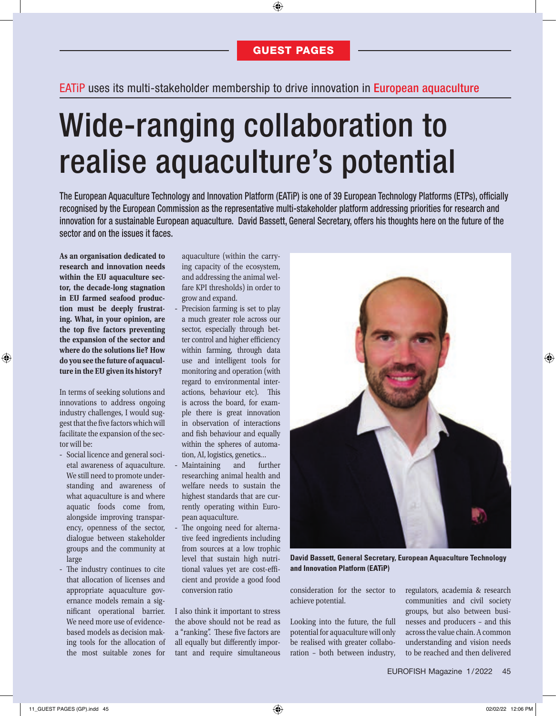## EATiP uses its multi-stakeholder membership to drive innovation in European aquaculture

# Wide-ranging collaboration to realise aquaculture's potential

The European Aquaculture Technology and Innovation Platform (EATiP) is one of 39 European Technology Platforms (ETPs), officially recognised by the European Commission as the representative multi-stakeholder platform addressing priorities for research and innovation for a sustainable European aquaculture. David Bassett, General Secretary, offers his thoughts here on the future of the sector and on the issues it faces.

**As an organisation dedicated to research and innovation needs within the EU aquaculture sector, the decade-long stagnation in EU farmed seafood production must be deeply frustrating. What, in your opinion, are**  the top five factors preventing **the expansion of the sector and where do the solutions lie? How do you see the future of aquaculture in the EU given its history?**

In terms of seeking solutions and innovations to address ongoing industry challenges, I would suggest that the five factors which will facilitate the expansion of the sector will be:

- Social licence and general societal awareness of aquaculture. We still need to promote understanding and awareness of what aquaculture is and where aquatic foods come from, alongside improving transparency, openness of the sector, dialogue between stakeholder groups and the community at large
- The industry continues to cite that allocation of licenses and appropriate aquaculture governance models remain a significant operational barrier. We need more use of evidencebased models as decision making tools for the allocation of the most suitable zones for

aquaculture (within the carrying capacity of the ecosystem, and addressing the animal welfare KPI thresholds) in order to grow and expand.

- Precision farming is set to play a much greater role across our sector, especially through better control and higher efficiency within farming, through data use and intelligent tools for monitoring and operation (with regard to environmental interactions, behaviour etc). This is across the board, for example there is great innovation in observation of interactions and fish behaviour and equally within the spheres of automation, AI, logistics, genetics…
- Maintaining and further researching animal health and welfare needs to sustain the highest standards that are currently operating within European aquaculture.
- The ongoing need for alternative feed ingredients including from sources at a low trophic level that sustain high nutritional values yet are cost-efficient and provide a good food conversion ratio

I also think it important to stress the above should not be read as a "ranking". These five factors are all equally but differently important and require simultaneous



**David Bassett, General Secretary, European Aquaculture Technology and Innovation Platform (EATiP)**

consideration for the sector to achieve potential.

Looking into the future, the full potential for aquaculture will only be realised with greater collaboration – both between industry, regulators, academia & research communities and civil society groups, but also between businesses and producers – and this across the value chain. A common understanding and vision needs to be reached and then delivered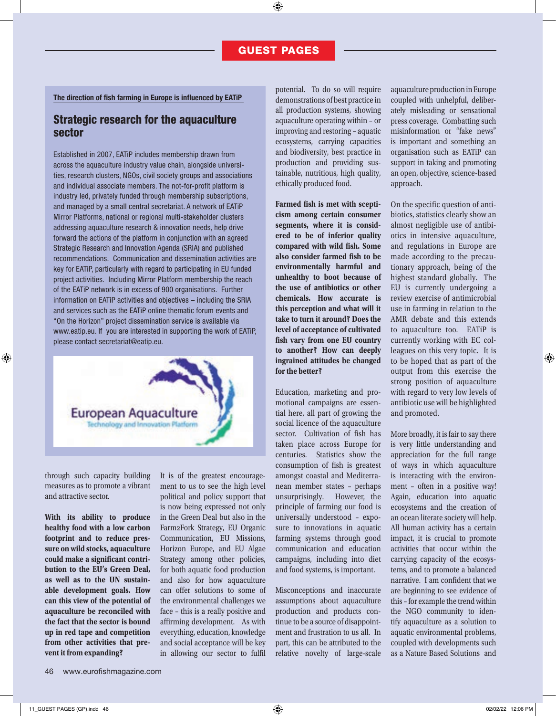#### The direction of fish farming in Europe is influenced by EATiP

## Strategic research for the aquaculture sector

Established in 2007, EATiP includes membership drawn from across the aquaculture industry value chain, alongside universities, research clusters, NGOs, civil society groups and associations and individual associate members. The not-for-profit platform is industry led, privately funded through membership subscriptions, and managed by a small central secretariat. A network of EATiP Mirror Platforms, national or regional multi-stakeholder clusters addressing aquaculture research & innovation needs, help drive forward the actions of the platform in conjunction with an agreed Strategic Research and Innovation Agenda (SRIA) and published recommendations. Communication and dissemination activities are key for EATiP, particularly with regard to participating in EU funded project activities. Including Mirror Platform membership the reach of the EATiP network is in excess of 900 organisations. Further information on EATiP activities and objectives – including the SRIA and services such as the EATiP online thematic forum events and "On the Horizon" project dissemination service is available via www.eatip.eu. If you are interested in supporting the work of EATiP, please contact secretariat@eatip.eu.



through such capacity building measures as to promote a vibrant and attractive sector.

**With its ability to produce healthy food with a low carbon footprint and to reduce pressure on wild stocks, aquaculture could make a signicant contribution to the EU's Green Deal, as well as to the UN sustainable development goals. How can this view of the potential of aquaculture be reconciled with the fact that the sector is bound up in red tape and competition from other activities that prevent it from expanding?**

It is of the greatest encouragement to us to see the high level political and policy support that is now being expressed not only in the Green Deal but also in the Farm2Fork Strategy, EU Organic Communication, EU Missions, Horizon Europe, and EU Algae Strategy among other policies, for both aquatic food production and also for how aquaculture can offer solutions to some of the environmental challenges we face – this is a really positive and affirming development. As with everything, education, knowledge and social acceptance will be key in allowing our sector to fulfil

potential. To do so will require demonstrations of best practice in all production systems, showing aquaculture operating within – or improving and restoring – aquatic ecosystems, carrying capacities and biodiversity, best practice in production and providing sustainable, nutritious, high quality, ethically produced food.

Farmed fish is met with scepti**cism among certain consumer segments, where it is considered to be of inferior quality**  compared with wild fish. Some also consider farmed fish to be **environmentally harmful and unhealthy to boot because of the use of antibiotics or other chemicals. How accurate is this perception and what will it take to turn it around? Does the level of acceptance of cultivated sh vary from one EU country to another? How can deeply ingrained attitudes be changed for the better?**

Education, marketing and promotional campaigns are essential here, all part of growing the social licence of the aquaculture sector. Cultivation of fish has taken place across Europe for centuries. Statistics show the consumption of fish is greatest amongst coastal and Mediterranean member states – perhaps unsurprisingly. However, the principle of farming our food is universally understood – exposure to innovations in aquatic farming systems through good communication and education campaigns, including into diet and food systems, is important.

Misconceptions and inaccurate assumptions about aquaculture production and products continue to be a source of disappointment and frustration to us all. In part, this can be attributed to the relative novelty of large-scale aquaculture production in Europe coupled with unhelpful, deliberately misleading or sensational press coverage. Combatting such misinformation or "fake news" is important and something an organisation such as EATiP can support in taking and promoting an open, objective, science-based approach.

On the specific question of antibiotics, statistics clearly show an almost negligible use of antibiotics in intensive aquaculture, and regulations in Europe are made according to the precautionary approach, being of the highest standard globally. The EU is currently undergoing a review exercise of antimicrobial use in farming in relation to the AMR debate and this extends to aquaculture too. EATiP is currently working with EC colleagues on this very topic. It is to be hoped that as part of the output from this exercise the strong position of aquaculture with regard to very low levels of antibiotic use will be highlighted and promoted.

More broadly, it is fair to say there is very little understanding and appreciation for the full range of ways in which aquaculture is interacting with the environment – often in a positive way! Again, education into aquatic ecosystems and the creation of an ocean literate society will help. All human activity has a certain impact, it is crucial to promote activities that occur within the carrying capacity of the ecosystems, and to promote a balanced narrative. I am confident that we are beginning to see evidence of this – for example the trend within the NGO community to identify aquaculture as a solution to aquatic environmental problems, coupled with developments such as a Nature Based Solutions and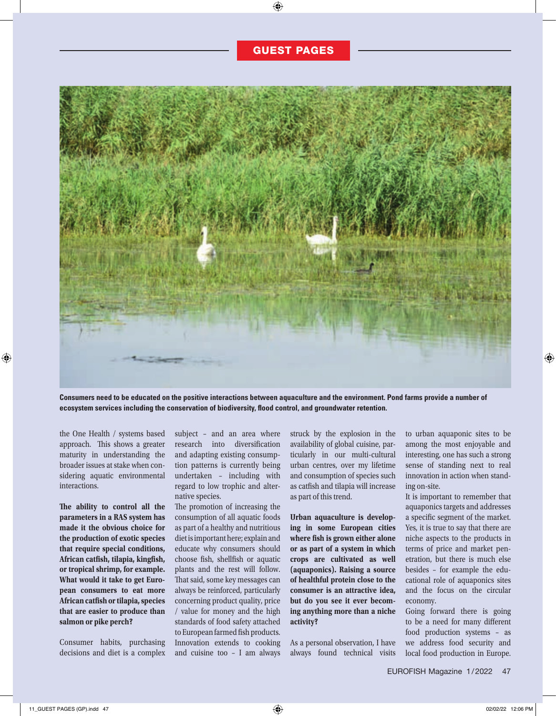

**Consumers need to be educated on the positive interactions between aquaculture and the environment. Pond farms provide a number of**  ecosystem services including the conservation of biodiversity, flood control, and groundwater retention.

the One Health / systems based approach. This shows a greater maturity in understanding the broader issues at stake when considering aquatic environmental interactions.

**e ability to control all the parameters in a RAS system has made it the obvious choice for the production of exotic species that require special conditions,**  African catfish, tilapia, kingfish, **or tropical shrimp, for example. What would it take to get European consumers to eat more African catsh or tilapia, species that are easier to produce than salmon or pike perch?**

Consumer habits, purchasing decisions and diet is a complex subject – and an area where research into diversification and adapting existing consumption patterns is currently being undertaken – including with regard to low trophic and alternative species.

The promotion of increasing the consumption of all aquatic foods as part of a healthy and nutritious diet is important here; explain and educate why consumers should choose fish, shellfish or aquatic plants and the rest will follow. That said, some key messages can always be reinforced, particularly concerning product quality, price / value for money and the high standards of food safety attached to European farmed fish products. Innovation extends to cooking and cuisine too – I am always struck by the explosion in the availability of global cuisine, particularly in our multi-cultural urban centres, over my lifetime and consumption of species such as catfish and tilapia will increase as part of this trend.

**Urban aquaculture is developing in some European cities**  where fish is grown either alone **or as part of a system in which crops are cultivated as well (aquaponics). Raising a source of healthful protein close to the consumer is an attractive idea, but do you see it ever becoming anything more than a niche activity?** 

As a personal observation, I have always found technical visits

to urban aquaponic sites to be among the most enjoyable and interesting, one has such a strong sense of standing next to real innovation in action when standing on-site.

It is important to remember that aquaponics targets and addresses a specific segment of the market. Yes, it is true to say that there are niche aspects to the products in terms of price and market penetration, but there is much else besides – for example the educational role of aquaponics sites and the focus on the circular economy.

Going forward there is going to be a need for many different food production systems – as we address food security and local food production in Europe.